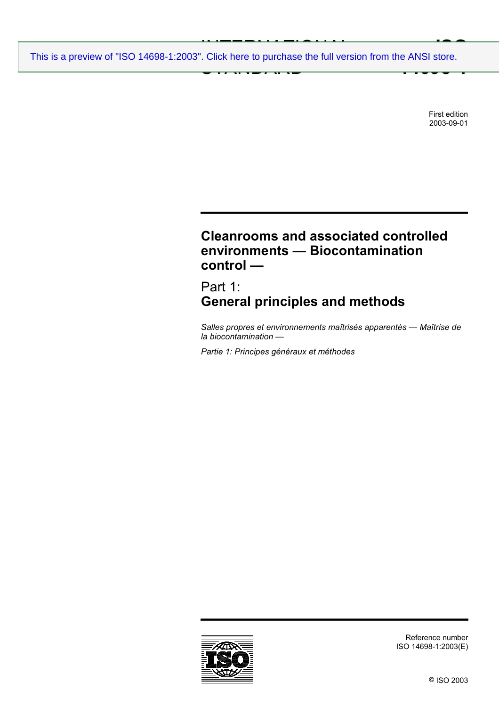INTERNATIONAL PROPERTY AND ALL PROPERTY OF STATES.  $\frac{1}{2}$  STANDARD RD parameters **ISO 14698-1** [This is a preview of "ISO 14698-1:2003". Click here to purchase the full version from the ANSI store.](http://webstore.ansi.org/RecordDetail.aspx?sku=ISO%2014698-1:2003&source=preview)

> First edition 2003-09-01

# **Cleanrooms and associated controlled environments — Biocontamination control —**

Part 1: **General principles and methods** 

*Salles propres et environnements maîtrisés apparentés — Maîtrise de la biocontamination —* 

*Partie 1: Principes généraux et méthodes* 



Reference number ISO 14698-1:2003(E)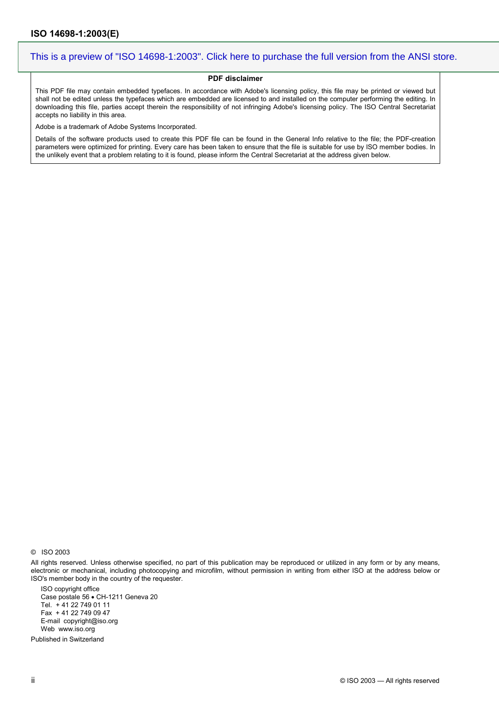#### **PDF disclaimer**

This PDF file may contain embedded typefaces. In accordance with Adobe's licensing policy, this file may be printed or viewed but shall not be edited unless the typefaces which are embedded are licensed to and installed on the computer performing the editing. In downloading this file, parties accept therein the responsibility of not infringing Adobe's licensing policy. The ISO Central Secretariat accepts no liability in this area.

Adobe is a trademark of Adobe Systems Incorporated.

Details of the software products used to create this PDF file can be found in the General Info relative to the file; the PDF-creation parameters were optimized for printing. Every care has been taken to ensure that the file is suitable for use by ISO member bodies. In the unlikely event that a problem relating to it is found, please inform the Central Secretariat at the address given below.

© ISO 2003

All rights reserved. Unless otherwise specified, no part of this publication may be reproduced or utilized in any form or by any means, electronic or mechanical, including photocopying and microfilm, without permission in writing from either ISO at the address below or ISO's member body in the country of the requester.

ISO copyright office Case postale 56 • CH-1211 Geneva 20 Tel. + 41 22 749 01 11 Fax + 41 22 749 09 47 E-mail copyright@iso.org Web www.iso.org

Published in Switzerland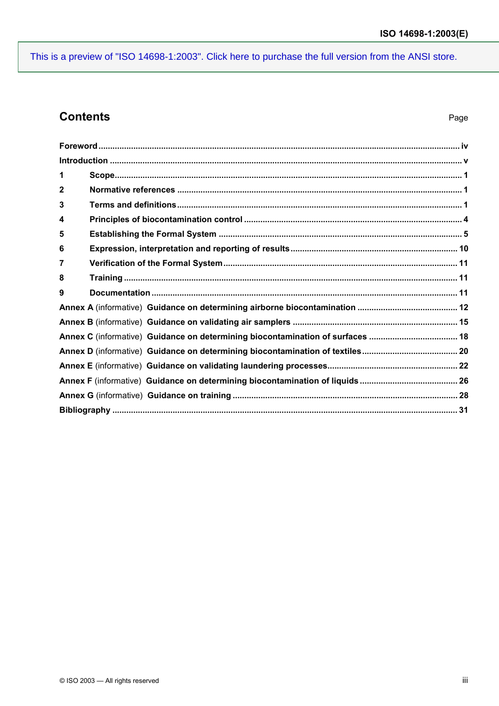## **Contents**

| 1                                                                              |  |
|--------------------------------------------------------------------------------|--|
| $\mathbf{2}$                                                                   |  |
| 3                                                                              |  |
| 4                                                                              |  |
| 5                                                                              |  |
| 6                                                                              |  |
| 7                                                                              |  |
| 8                                                                              |  |
| 9                                                                              |  |
|                                                                                |  |
|                                                                                |  |
| Annex C (informative) Guidance on determining biocontamination of surfaces  18 |  |
|                                                                                |  |
|                                                                                |  |
|                                                                                |  |
|                                                                                |  |
|                                                                                |  |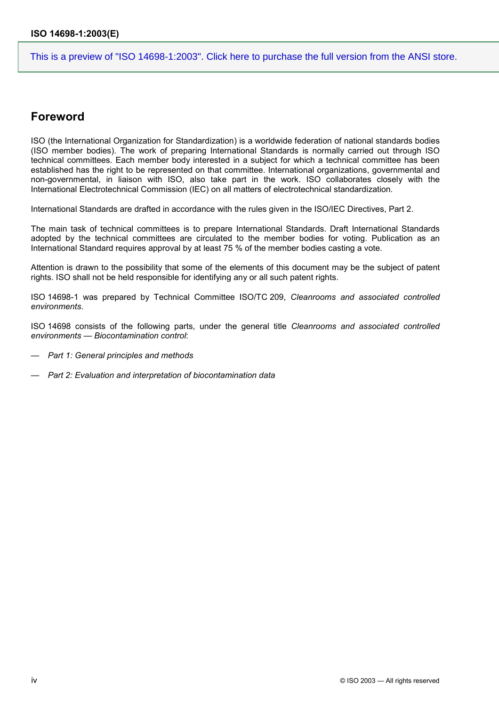### **Foreword**

ISO (the International Organization for Standardization) is a worldwide federation of national standards bodies (ISO member bodies). The work of preparing International Standards is normally carried out through ISO technical committees. Each member body interested in a subject for which a technical committee has been established has the right to be represented on that committee. International organizations, governmental and non-governmental, in liaison with ISO, also take part in the work. ISO collaborates closely with the International Electrotechnical Commission (IEC) on all matters of electrotechnical standardization.

International Standards are drafted in accordance with the rules given in the ISO/IEC Directives, Part 2.

The main task of technical committees is to prepare International Standards. Draft International Standards adopted by the technical committees are circulated to the member bodies for voting. Publication as an International Standard requires approval by at least 75 % of the member bodies casting a vote.

Attention is drawn to the possibility that some of the elements of this document may be the subject of patent rights. ISO shall not be held responsible for identifying any or all such patent rights.

ISO 14698-1 was prepared by Technical Committee ISO/TC 209, *Cleanrooms and associated controlled environments*.

ISO 14698 consists of the following parts, under the general title *Cleanrooms and associated controlled environments — Biocontamination control*:

- *Part 1: General principles and methods*
- *Part 2: Evaluation and interpretation of biocontamination data*